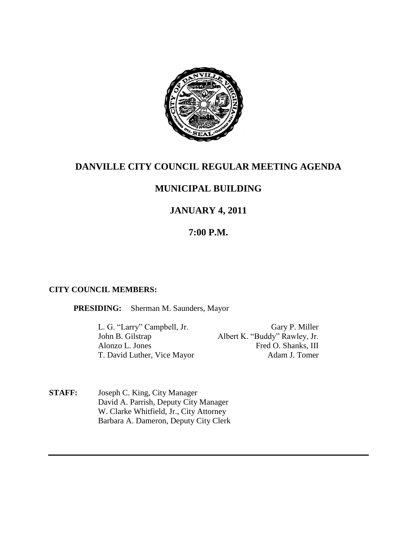

## **DANVILLE CITY COUNCIL REGULAR MEETING AGENDA**

# **MUNICIPAL BUILDING**

# **JANUARY 4, 2011**

## **7:00 P.M.**

#### **CITY COUNCIL MEMBERS:**

**PRESIDING:** Sherman M. Saunders, Mayor

L. G. "Larry" Campbell, Jr. Gary P. Miller<br>
John B. Gilstrap Albert K. "Buddy" Rawley, Jr. Albert K. "Buddy" Rawley, Jr. Alonzo L. Jones Fred O. Shanks, III T. David Luther, Vice Mayor Adam J. Tomer

**STAFF:** Joseph C. King, City Manager David A. Parrish, Deputy City Manager W. Clarke Whitfield, Jr., City Attorney Barbara A. Dameron, Deputy City Clerk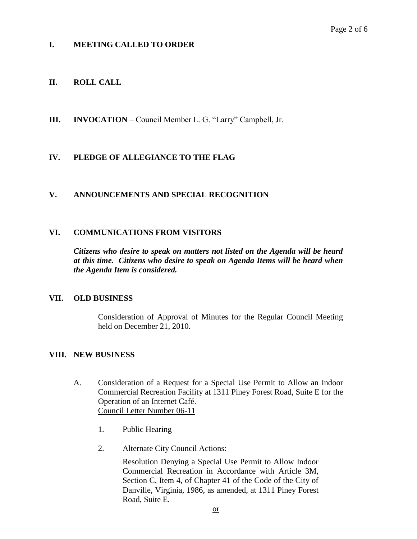## **I. MEETING CALLED TO ORDER**

### **II. ROLL CALL**

**III. INVOCATION** – Council Member L. G. "Larry" Campbell, Jr.

### **IV. PLEDGE OF ALLEGIANCE TO THE FLAG**

#### **V. ANNOUNCEMENTS AND SPECIAL RECOGNITION**

#### **VI. COMMUNICATIONS FROM VISITORS**

*Citizens who desire to speak on matters not listed on the Agenda will be heard at this time. Citizens who desire to speak on Agenda Items will be heard when the Agenda Item is considered.*

#### **VII. OLD BUSINESS**

Consideration of Approval of Minutes for the Regular Council Meeting held on December 21, 2010.

#### **VIII. NEW BUSINESS**

- A. Consideration of a Request for a Special Use Permit to Allow an Indoor Commercial Recreation Facility at 1311 Piney Forest Road, Suite E for the Operation of an Internet Café. Council Letter Number 06-11
	- 1. Public Hearing
	- 2. Alternate City Council Actions:

Resolution Denying a Special Use Permit to Allow Indoor Commercial Recreation in Accordance with Article 3M, Section C, Item 4, of Chapter 41 of the Code of the City of Danville, Virginia, 1986, as amended, at 1311 Piney Forest Road, Suite E.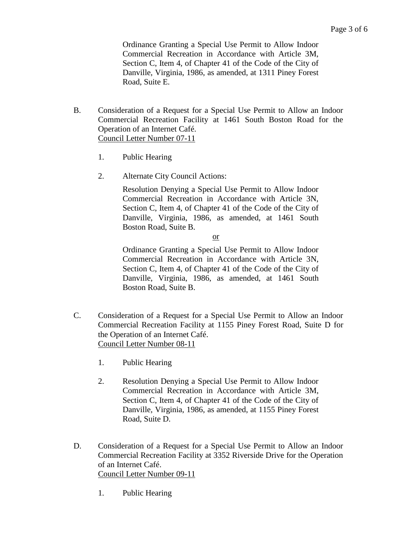Ordinance Granting a Special Use Permit to Allow Indoor Commercial Recreation in Accordance with Article 3M, Section C, Item 4, of Chapter 41 of the Code of the City of Danville, Virginia, 1986, as amended, at 1311 Piney Forest Road, Suite E.

- B. Consideration of a Request for a Special Use Permit to Allow an Indoor Commercial Recreation Facility at 1461 South Boston Road for the Operation of an Internet Café. Council Letter Number 07-11
	- 1. Public Hearing
	- 2. Alternate City Council Actions:

Resolution Denying a Special Use Permit to Allow Indoor Commercial Recreation in Accordance with Article 3N, Section C, Item 4, of Chapter 41 of the Code of the City of Danville, Virginia, 1986, as amended, at 1461 South Boston Road, Suite B.

or

Ordinance Granting a Special Use Permit to Allow Indoor Commercial Recreation in Accordance with Article 3N, Section C, Item 4, of Chapter 41 of the Code of the City of Danville, Virginia, 1986, as amended, at 1461 South Boston Road, Suite B.

- C. Consideration of a Request for a Special Use Permit to Allow an Indoor Commercial Recreation Facility at 1155 Piney Forest Road, Suite D for the Operation of an Internet Café. Council Letter Number 08-11
	- 1. Public Hearing
	- 2. Resolution Denying a Special Use Permit to Allow Indoor Commercial Recreation in Accordance with Article 3M, Section C, Item 4, of Chapter 41 of the Code of the City of Danville, Virginia, 1986, as amended, at 1155 Piney Forest Road, Suite D.
- D. Consideration of a Request for a Special Use Permit to Allow an Indoor Commercial Recreation Facility at 3352 Riverside Drive for the Operation of an Internet Café. Council Letter Number 09-11
	- 1. Public Hearing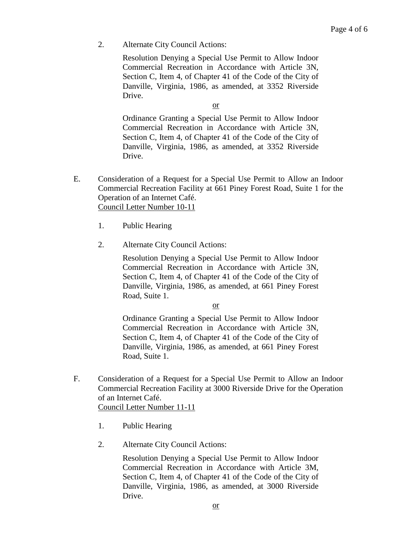2. Alternate City Council Actions:

Resolution Denying a Special Use Permit to Allow Indoor Commercial Recreation in Accordance with Article 3N, Section C, Item 4, of Chapter 41 of the Code of the City of Danville, Virginia, 1986, as amended, at 3352 Riverside Drive.

or

Ordinance Granting a Special Use Permit to Allow Indoor Commercial Recreation in Accordance with Article 3N, Section C, Item 4, of Chapter 41 of the Code of the City of Danville, Virginia, 1986, as amended, at 3352 Riverside Drive.

- E. Consideration of a Request for a Special Use Permit to Allow an Indoor Commercial Recreation Facility at 661 Piney Forest Road, Suite 1 for the Operation of an Internet Café. Council Letter Number 10-11
	- 1. Public Hearing
	- 2. Alternate City Council Actions:

Resolution Denying a Special Use Permit to Allow Indoor Commercial Recreation in Accordance with Article 3N, Section C, Item 4, of Chapter 41 of the Code of the City of Danville, Virginia, 1986, as amended, at 661 Piney Forest Road, Suite 1.

or

Ordinance Granting a Special Use Permit to Allow Indoor Commercial Recreation in Accordance with Article 3N, Section C, Item 4, of Chapter 41 of the Code of the City of Danville, Virginia, 1986, as amended, at 661 Piney Forest Road, Suite 1.

F. Consideration of a Request for a Special Use Permit to Allow an Indoor Commercial Recreation Facility at 3000 Riverside Drive for the Operation of an Internet Café. Council Letter Number 11-11

- 1. Public Hearing
- 2. Alternate City Council Actions:

Resolution Denying a Special Use Permit to Allow Indoor Commercial Recreation in Accordance with Article 3M, Section C, Item 4, of Chapter 41 of the Code of the City of Danville, Virginia, 1986, as amended, at 3000 Riverside Drive.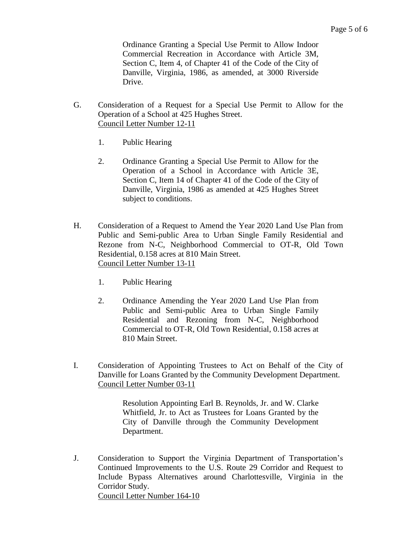Ordinance Granting a Special Use Permit to Allow Indoor Commercial Recreation in Accordance with Article 3M, Section C, Item 4, of Chapter 41 of the Code of the City of Danville, Virginia, 1986, as amended, at 3000 Riverside Drive.

- G. Consideration of a Request for a Special Use Permit to Allow for the Operation of a School at 425 Hughes Street. Council Letter Number 12-11
	- 1. Public Hearing
	- 2. Ordinance Granting a Special Use Permit to Allow for the Operation of a School in Accordance with Article 3E, Section C, Item 14 of Chapter 41 of the Code of the City of Danville, Virginia, 1986 as amended at 425 Hughes Street subject to conditions.
- H. Consideration of a Request to Amend the Year 2020 Land Use Plan from Public and Semi-public Area to Urban Single Family Residential and Rezone from N-C, Neighborhood Commercial to OT-R, Old Town Residential, 0.158 acres at 810 Main Street. Council Letter Number 13-11
	- 1. Public Hearing
	- 2. Ordinance Amending the Year 2020 Land Use Plan from Public and Semi-public Area to Urban Single Family Residential and Rezoning from N-C, Neighborhood Commercial to OT-R, Old Town Residential, 0.158 acres at 810 Main Street.
- I. Consideration of Appointing Trustees to Act on Behalf of the City of Danville for Loans Granted by the Community Development Department. Council Letter Number 03-11

Resolution Appointing Earl B. Reynolds, Jr. and W. Clarke Whitfield, Jr. to Act as Trustees for Loans Granted by the City of Danville through the Community Development Department.

J. Consideration to Support the Virginia Department of Transportation's Continued Improvements to the U.S. Route 29 Corridor and Request to Include Bypass Alternatives around Charlottesville, Virginia in the Corridor Study. Council Letter Number 164-10